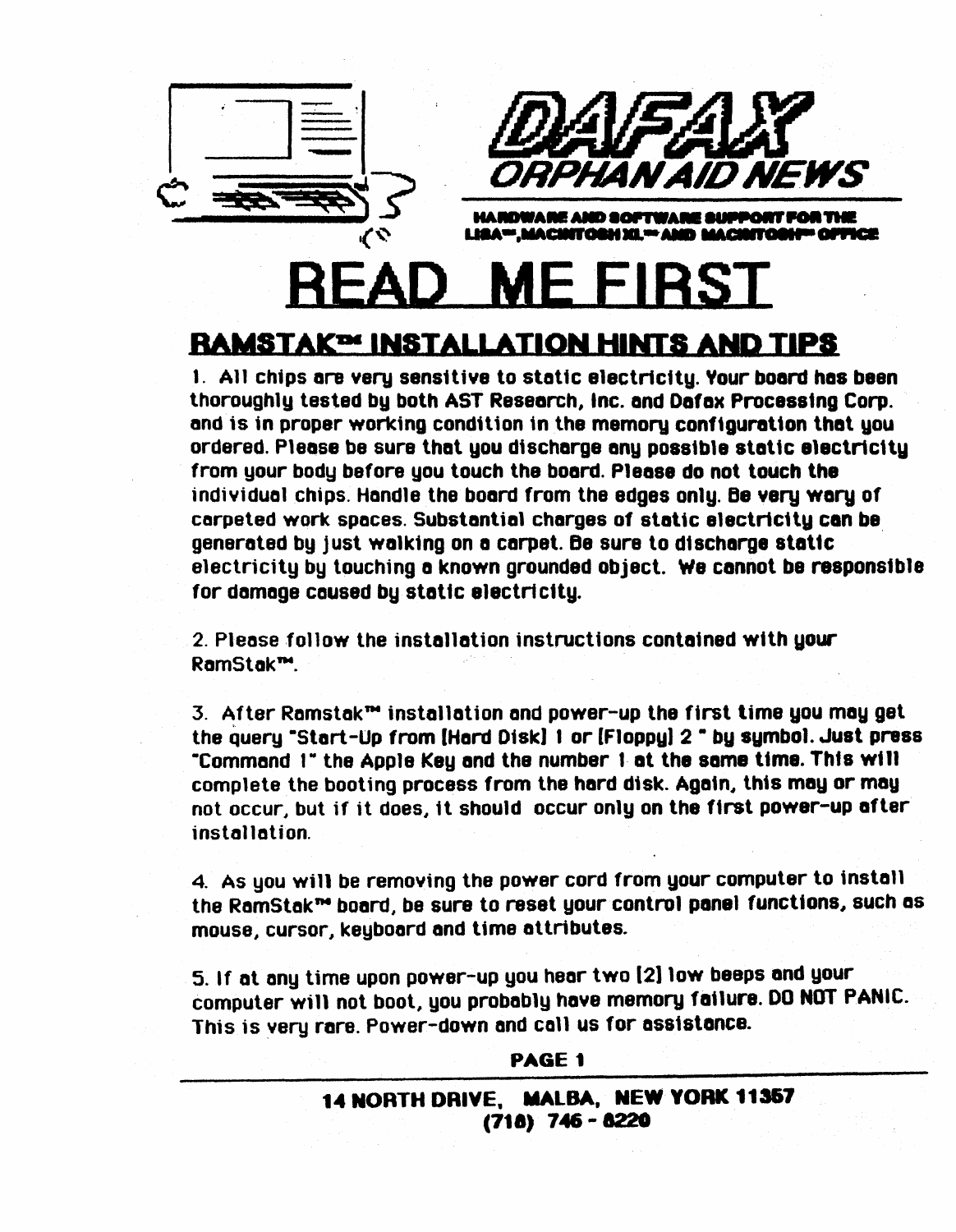

# EAD ME FII

# **RAMSTAK<sup>D</sup>' INSTALLATION HINTS AND TIPS**

1. All chips are very sensitive to static electricity. Your board has been thoroughly tested by both AST Research, Inc. and Dafax Processing Corp. and is in proper working condition in the memory configuration that you ordered. Please be sure that you discharge any possible static electricity from your body before you touch the board. Please do not touch the individual chips. Handle the board from the edges only. Be very wary of carpeted work spaces. Substantial charges of static electricity can be generated by just walking on a carpet. Be sure to discharge static electricity by touching a known grounded object. We cannot be responsible for damage caused by static electricity.

2. Please follow the installation instructions contained with your RamStak™.

3. After Ramstak™ installation and power-up the first time you may get the query "Start-Up from [Hard Disk] 1 or [Floppy] 2 " by symbol. Just press "Command 1" the Apple Key and the number 1 at the same time. This will complete the booting process from the hard disk. Again, this may or may not occur, but if it does, it should occur only on the first power-up after installation.

4. As you will be removing the power cord from your computer to install the RamStak™ board, be sure to reset your control panel functions, such as mouse, cursor, keyboard and time attributes.

5. If at any time upon power-up you hear two [2] low beeps and your computer will not boot, you probably have memory failure. DO NOT PANIC. This is very rare. Power-down and call us for assistance.

#### PAGE 1

14 NORTH DRIVE, MALBA, NEW YORK 11357  $(718)$  746 - 8220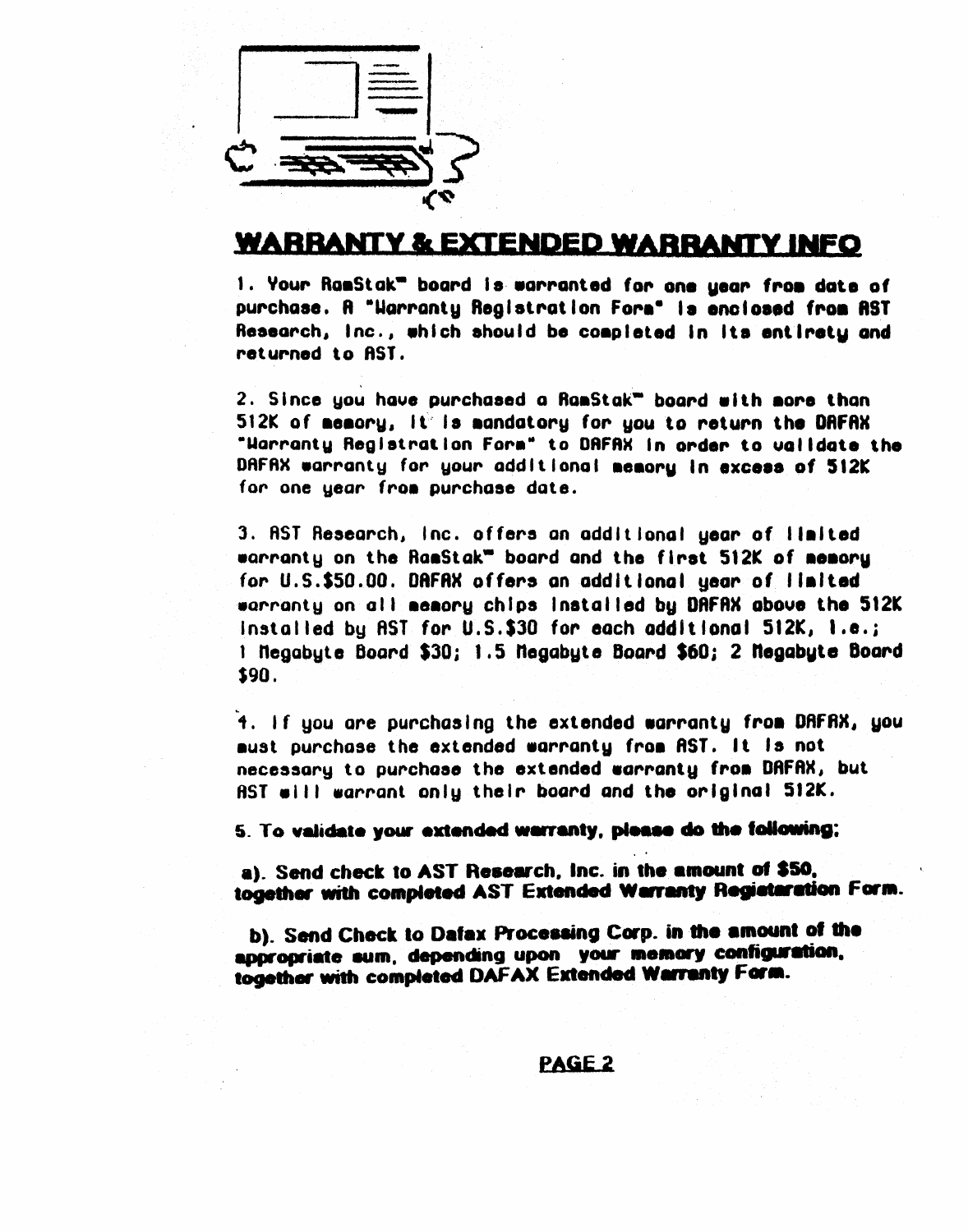

# **WARRANTY & EXTENDED WARRANTY INFO**

1. Your RamStak" board is warranted for one year from date of purchase. A "Harranty Registration Form" is enclosed from AST Research, Inc., which should be completed in its entirety and returned to AST.

2. Since you have purchased a RamStak<sup>w</sup> board with more than 512K of memory, it is mandatory for you to return the DAFAX "Harranty Registration Form" to DRFAX in order to walldate the DAFAX warranty for your additional memory in excess of 512K for one year from purchase date.

3. AST Research, Inc. offers an additional year of limited warranty on the RamStak" board and the first 512K of memory for U.S.\$50.00. DRFRX offers an additional year of limited warranty on all memory chips installed by DAFAX above the 512K installed by AST for U.S.\$30 for each additional 512K, I.e.; 1 Negabute Board \$30; 1.5 Negabute Board \$60; 2 Negabute Board \$90.

4. If you are purchasing the extended warranty from DAFAX, you aust purchase the extended warranty from AST. It is not necessary to purchase the extended warranty from DAFAX, but AST will warrant only their board and the original 512K.

5. To validate your extended warranty, please do the following;

a). Send check to AST Research, Inc. in the amount of \$50, together with completed AST Extended Warranty Registaration Form.

b). Send Check to Dafax Processing Corp. in the amount of the appropriate sum, depending upon your memory configuration, together with completed DAFAX Extended Warranty Form.

#### PAGE<sub>2</sub>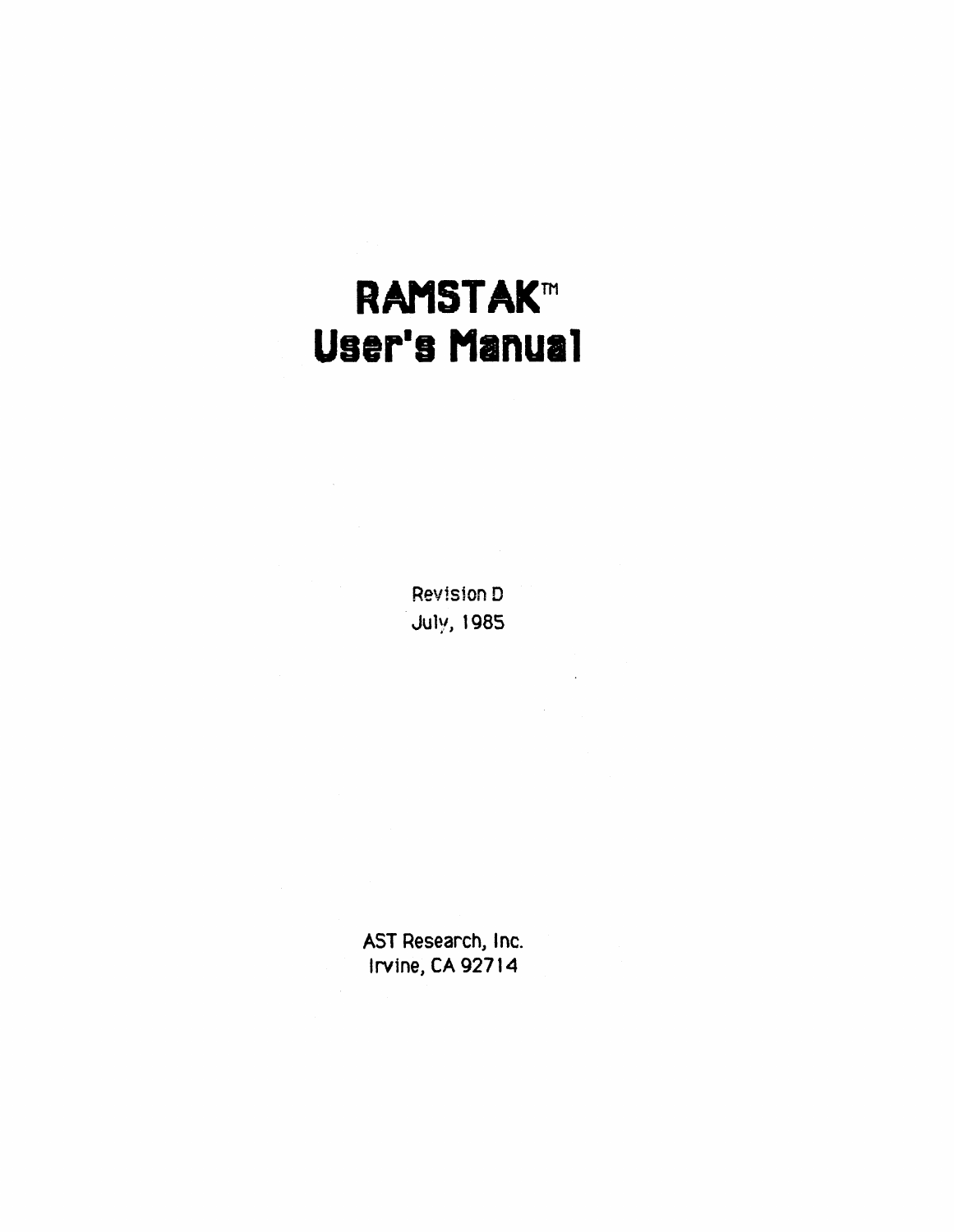# **RAMSTAK™ User's Manual**

Revision D July, 1985

AST Research, Inc. Irvine, CA 92714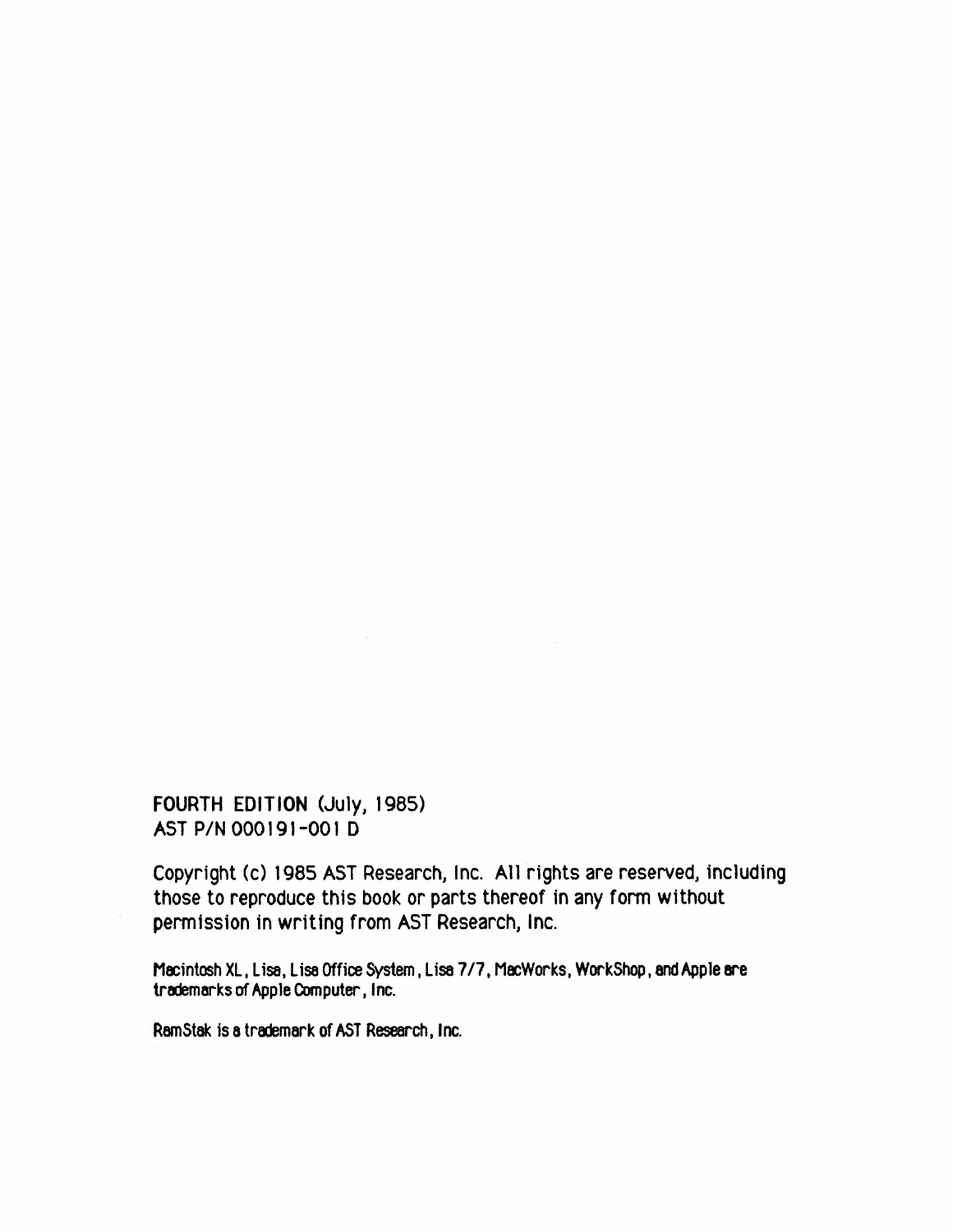#### FOURTH EDITION (July, 1985) AST P/N 000191-001 D

Copyright (c) 1985 AST Research, Inc. All rights are reserved, including those to reproduce this book or parts thereof in any form without permission in writing from AST Research, Inc.

Macintosh XL, Lisa, Lisa Office System, Lisa 7/7, MacWorks, WorkShop, and Apple are trademarks of Apple Computer, Inc.

RamStak is a trademark of AST Research, Inc.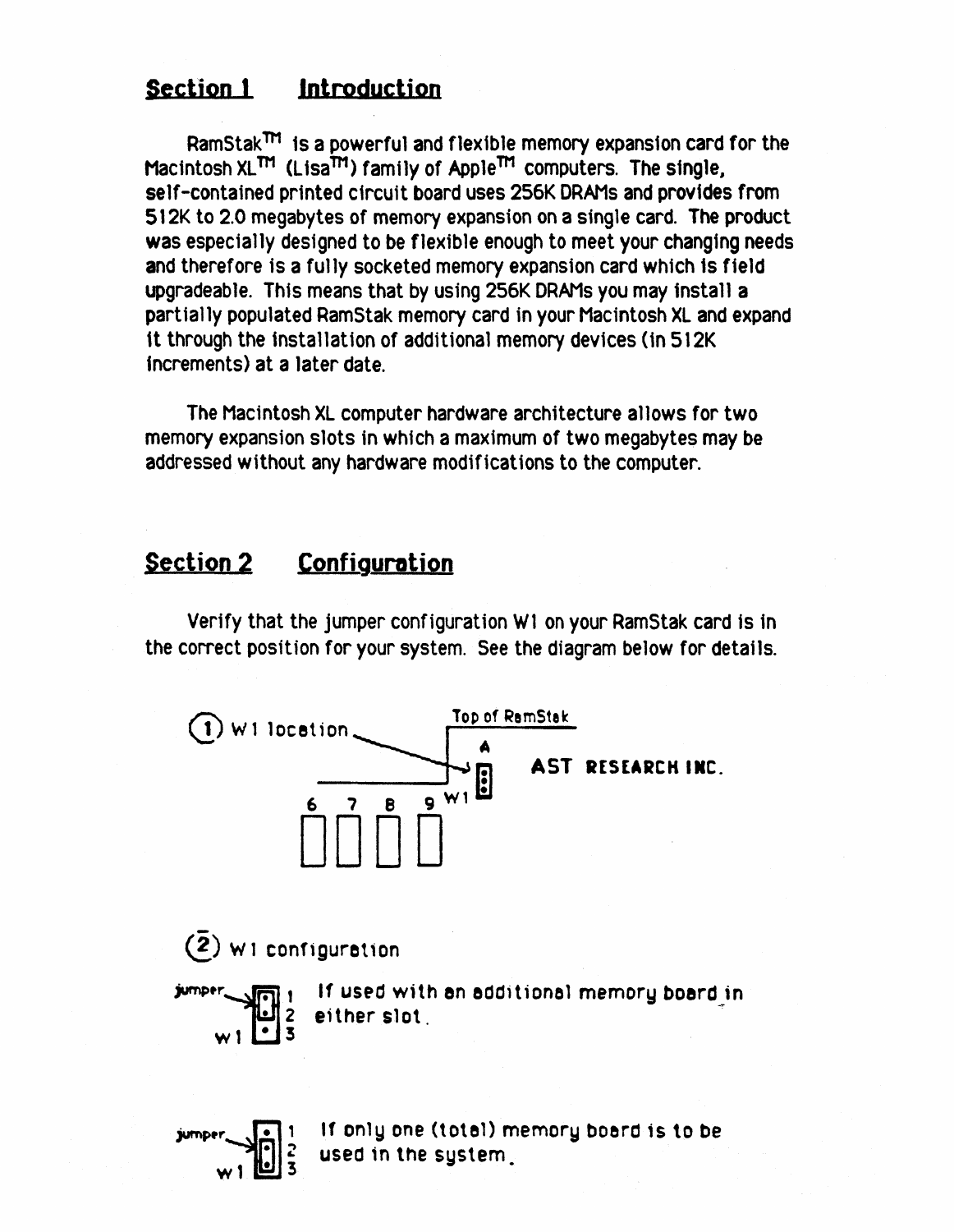#### Section 1 Introduction

 $RamStak<sup>TM</sup>$  is a powerful and flexible memory expansion card for the Macintosh XL<sup>TM</sup> (Lisa<sup>TM</sup>) family of Apple™ computers. The single, self-contained printed circuit board uses 256K DRAMs and provides from 512K to 2.0 megabytes of memory expansion on a single card. The product was especially designed to be flexible enough to meet your changing needs and therefore is a fully socketed memory expansion card which Is field upgradeable. This means that by using 256K DRAMs you may install a partially populated RamStak memory card in your Macintosh XL and expand it through the installation of additional memory devices (in 512K) Increments) at a later date.

The Macintosh XL computer hardware architecture allows for two memory expansion slots in which a maximum of two megabytes may be addressed without any hardware modifications to the computer.

### Section 2 Configuration

w 1 <u>[</u>2] 3

Verify that the jumper configuration W1 on your RamStak card is in the correct position for your system. See the diagram below for detal1s.

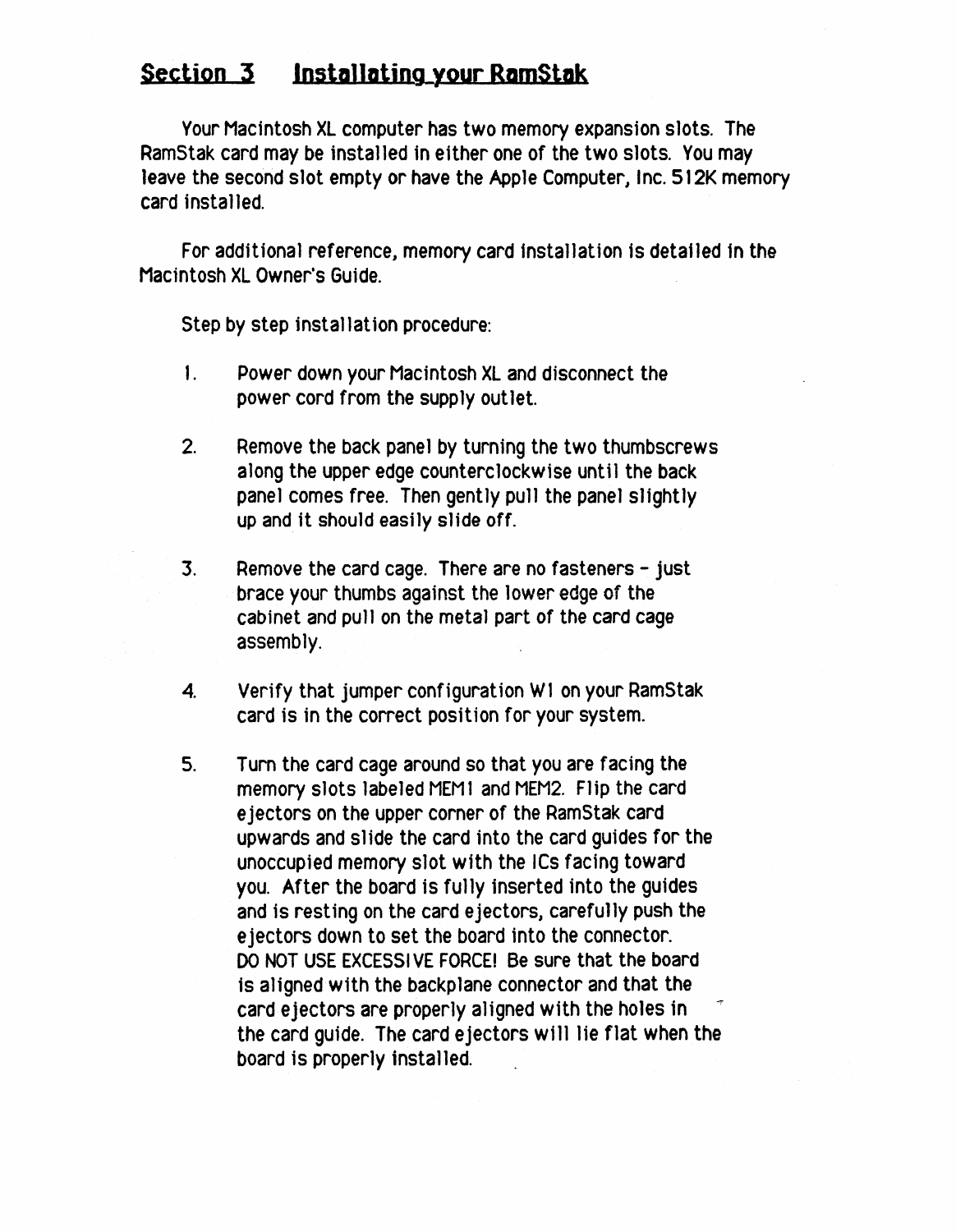#### **Section 3 Installating\_your RamStak**

Your Macintosh XL computer has two memory expansion slots. The RamStak card may be installed in either one of the two slots. You may leave the second slot empty or have the Apple Computer, Inc. 512K memory card installed.

For additional reference, memory card installation is detailed in the Macintosh XL Owner's Guide.

Step by step installation procedure:

- 1. Power down your Macintosh XL and disconnect the power cord from the supply out let.
- 2. Remove the back panel by turning the two thumbscrews along the upper edge counterclockwise until the back panel comes free. Then gently pull the panel slightly up and it should easily slide off.
- 3. Remove the card cage. There are no fasteners just brace your thumbs against the lower edge of the cabinet and pull on the metal part of the card cage assembly.
- 4. Verify that jumper configuration W1 on your RamStak card is in the correct position for your system.
- 5. Tum the card cage around so that you are facing the memory slots labeled MEM1 and MEM2. Flip the card ejectors on the upper corner of the RamStak card upwards and slide the card into the card guides for the unoccupied memory slot with the ICs facing toward you. After the board is fully inserted into the guides and is resting on the card ejectors, careful1y push the ejectors down to set the board into the connector. 00 NOT USE EXCESSI VE FORCE' Be sure that the board 1s aligned with the backplane connector and that the card ejectors are properly a1igned with the holes in the card quide. The card ejectors will lie flat when the board is properly installed.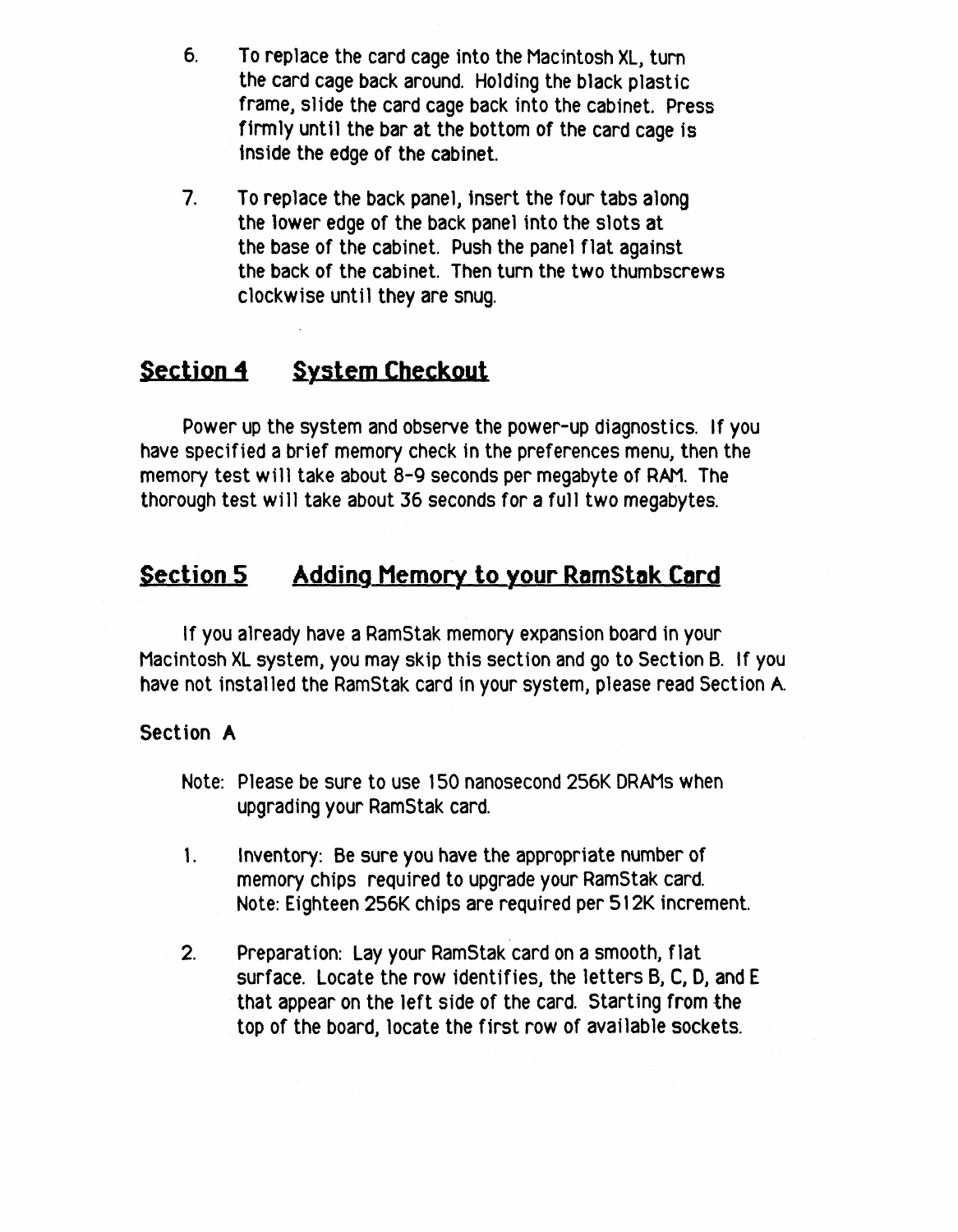- 6. To replace the card cage into the Macintosh XL, turn the card cage back around. Holding the black plastic frame, slide the card cage back into the cabinet. Press firmly until the bar at the bottom of the card cage is inside the edge of the cabinet.
- 7. To replace the back panel, insert the four tabs along the lower edge of the back panel into the slots at the base of the cabinet. Push the panel flat against the back of the cabinet. Then turn the two thumbscrews clockwise until they are snug.

## **Section 4** System Checkout

Power up the system and observe the power-up diagnostics. If you have specified a brief memory check in the preferences menu, then the memory test will take about 8-9 seconds per megabyte of RAM. The thorough test will take about 36 seconds for a full two megabytes.

#### **Section 5 Adding Memory to your RamStak Card**

If you already have a RamStak memory expansion board in your Macintosh XL system, you may skip this section and go to Section B. If you have not installed the RamStak card in your system, please read Section A

#### Section A

- Note: Please be sure to use 150 nanosecond 256K DRAMs when upgrading your RamStak card.
- 1. Inventory: Be sure you have the appropriate number of memory chips required to upgrade your RamStak card. Note: Eighteen 256K chips are required per 512K increment.
- 2. Preparat ion: Lay your RamStak card on a smooth, flat surface. Locate the row identifies, the letters  $B$ ,  $C$ ,  $D$ , and  $E$ that appear on the left side of the card. Starting from the top of the board, locate the first row of available sockets.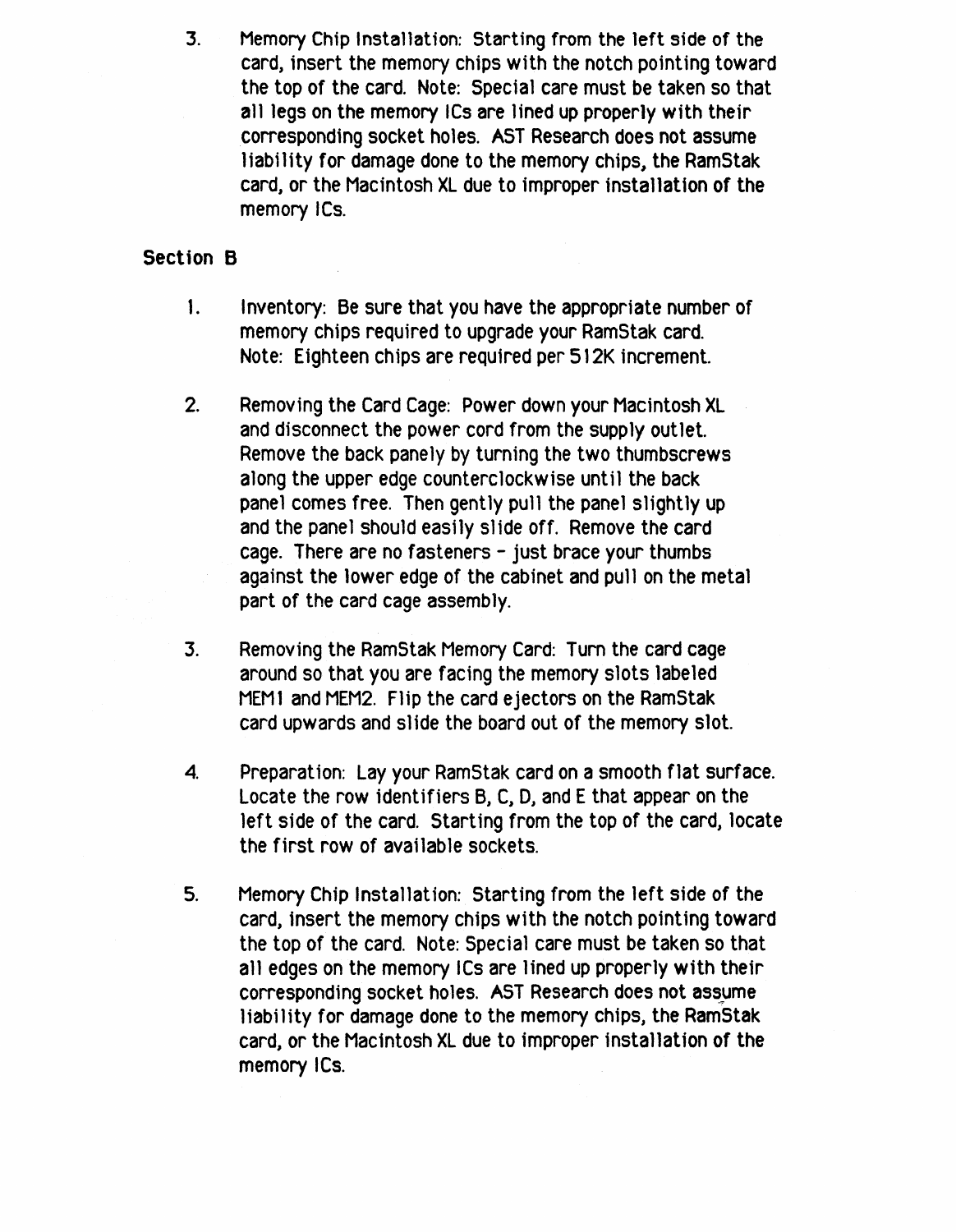3. Memory Chip Installation: Starting from the left side of the card, insert the memory chips with the notch pointing toward the top of the card. Note: Special care must be taken so that all legs on the memory ICs are lined up proper1y with their corresponding socket holes. AST Research does not assume liability for damage done to the memory chips, the RamStak card, or the Macintosh XL due to improper installation of the memory ICs.

#### Section B

- 1. Inventory: Be sure that you have the appropriate number of memory chips required to upgrade your RamStak card. Note: Eighteen chips are required per 512K increment.
- 2. Removing the Card Cage: Power down your Macintosh XL and disconnect the power cord from the supply outlet. Remove the back panely by turning the two thumbscrews along the upper edge counterclockwise until the back panel comes free. Then gently pull the panel slightly up and the panel should easily slide off. Remove the card cage. There are no fasteners - just brace your thumbs against the lower edge of the cabinet and pull on the metal part of the card cage assembly.
- 3. Removing the RamStak Memory Card: Tum the card cage around so that you are facing the memory slots labeled MEM1 and MEM2. Flip the card ejectors on the RamStak card upwards and slide the board out of the memory slot.
- 4. Preparation: Lay your RamStak card on a smooth flat surface. Locate the row identifiers B, C, D, and E that appear on the left side of the card. Starting from the top of the card, locate the first row of available sockets.
- 5. Memory Chip Installation: Starting from the Jeft side of the card, insert the memory chips with the notch pointing toward the top of the card. Note: Special care must be taken so that all edges on the memory ICs are lined up properly with their corresponding socket holes. AST Research does not assume liability for damage done to the memory chips, the RamStak card, or the Macintosh XL due to improper installatjon of the memory ICs.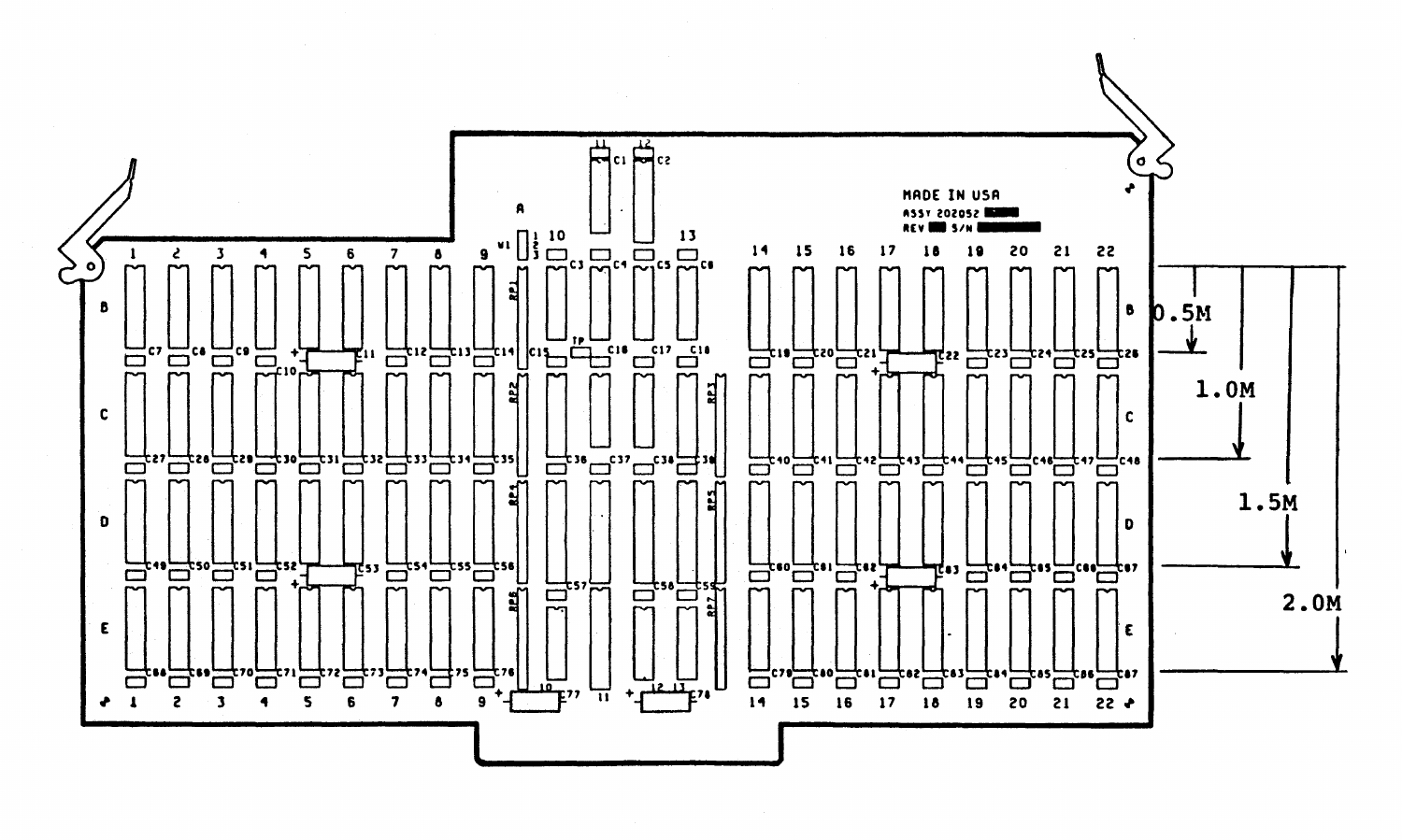